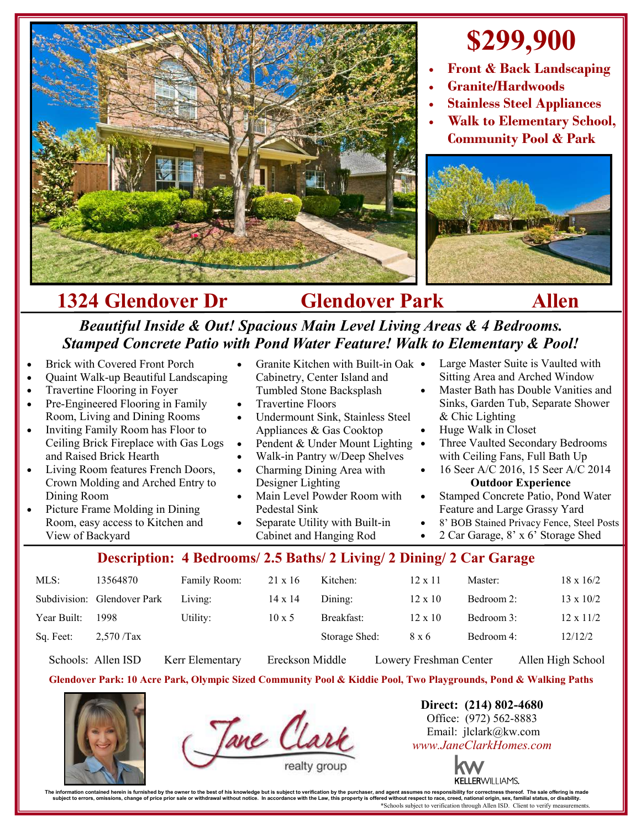

# **\$299,900**

- **Front & Back Landscaping**
- **Granite/Hardwoods**
- **Stainless Steel Appliances**
- **Walk to Elementary School, Community Pool & Park**



## **1324 Glendover Dr Glendover Park Allen**

#### *Beautiful Inside & Out! Spacious Main Level Living Areas & 4 Bedrooms. Stamped Concrete Patio with Pond Water Feature! Walk to Elementary & Pool!*

| and Raised Brick Hearth<br>Walk-in Pantry w/Deep Shelves<br>with Ceiling Fans, Full Bath Up<br>Charming Dining Area with<br>16 Seer A/C 2016, 15 Seer A/C 2014<br>Living Room features French Doors,<br>$\bullet$<br>$\bullet$<br>Crown Molding and Arched Entry to<br>Designer Lighting<br><b>Outdoor Experience</b><br>Main Level Powder Room with<br>Stamped Concrete Patio, Pond Water<br>Dining Room<br>$\bullet$<br>$\bullet$<br>Feature and Large Grassy Yard<br>Picture Frame Molding in Dining<br>Pedestal Sink<br>8' BOB Stained Privacy Fence, Steel Posts<br>Room, easy access to Kitchen and<br>Separate Utility with Built-in<br>2 Car Garage, 8' x 6' Storage Shed<br>Cabinet and Hanging Rod<br>View of Backyard |
|----------------------------------------------------------------------------------------------------------------------------------------------------------------------------------------------------------------------------------------------------------------------------------------------------------------------------------------------------------------------------------------------------------------------------------------------------------------------------------------------------------------------------------------------------------------------------------------------------------------------------------------------------------------------------------------------------------------------------------|
|----------------------------------------------------------------------------------------------------------------------------------------------------------------------------------------------------------------------------------------------------------------------------------------------------------------------------------------------------------------------------------------------------------------------------------------------------------------------------------------------------------------------------------------------------------------------------------------------------------------------------------------------------------------------------------------------------------------------------------|

### MLS: 13564870 Family Room: 21 x 16 Kitchen: 12 x 11 Master: 18 x 16/2 Subdivision: Glendover Park Living:  $14 \times 14$  Dining:  $12 \times 10$  Bedroom 2:  $13 \times 10/2$ Year Built: 1998 Utility: 10 x 5 Breakfast: 12 x 10 Bedroom 3: 12 x 11/2 Sq. Feet: 2,570 /Tax Storage Shed: 8 x 6 Bedroom 4: 12/12/2

Schools: Allen ISD Kerr Elementary Ereckson Middle Lowery Freshman Center Allen High School

#### **Glendover Park: 10 Acre Park, Olympic Sized Community Pool & Kiddie Pool, Two Playgrounds, Pond & Walking Paths**





**Direct: (214) 802-4680** Office: (972) 562-8883 Email: jlclark@kw.com *www.JaneClarkHomes.com*



The information contained heren is furnished by the owner to the best of his knowledge but is usuplect to verification by the purchaser, and agent assumes no responsibility for corrections then incompted in accordance with \*Schools subject to verification through Allen ISD. Client to verify measurements.